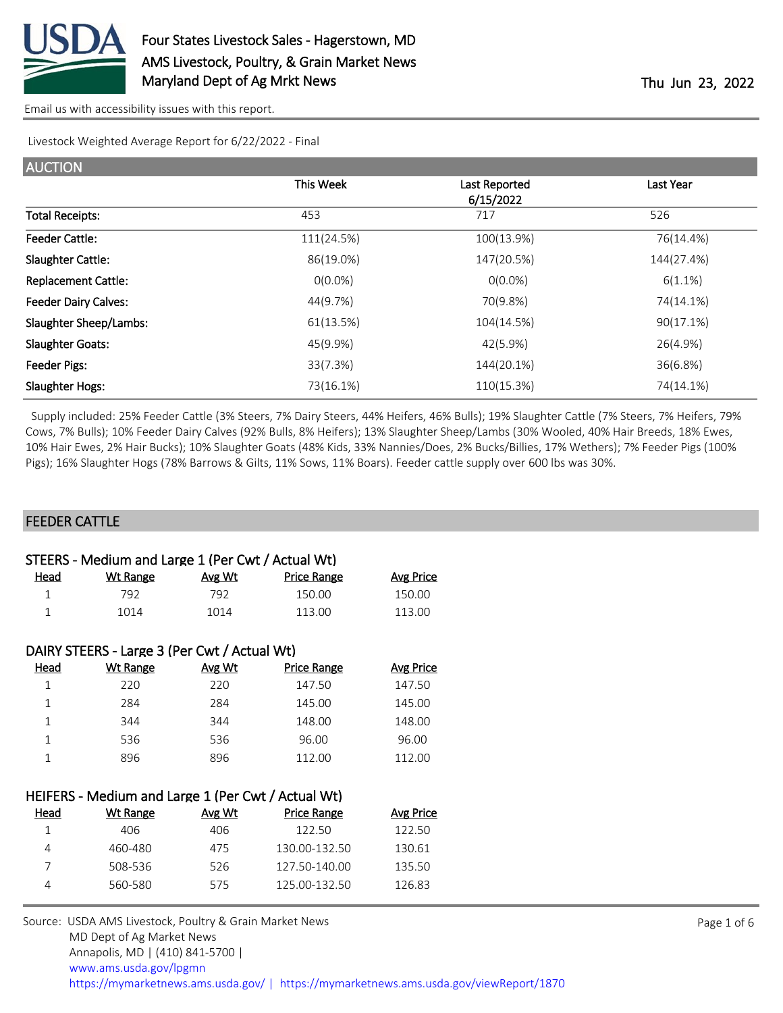

Livestock Weighted Average Report for 6/22/2022 - Final

| This Week  | Last Reported | Last Year  |
|------------|---------------|------------|
|            | 6/15/2022     |            |
| 453        | 717           | 526        |
| 111(24.5%) | 100(13.9%)    | 76(14.4%)  |
| 86(19.0%)  | 147(20.5%)    | 144(27.4%) |
| $O(0.0\%)$ | $O(0.0\%)$    | $6(1.1\%)$ |
| 44(9.7%)   | 70(9.8%)      | 74(14.1%)  |
| 61(13.5%)  | 104(14.5%)    | 90(17.1%)  |
| 45(9.9%)   | 42(5.9%)      | 26(4.9%)   |
| 33(7.3%)   | 144(20.1%)    | 36(6.8%)   |
| 73(16.1%)  | 110(15.3%)    | 74(14.1%)  |
|            |               |            |

 Supply included: 25% Feeder Cattle (3% Steers, 7% Dairy Steers, 44% Heifers, 46% Bulls); 19% Slaughter Cattle (7% Steers, 7% Heifers, 79% Cows, 7% Bulls); 10% Feeder Dairy Calves (92% Bulls, 8% Heifers); 13% Slaughter Sheep/Lambs (30% Wooled, 40% Hair Breeds, 18% Ewes, 10% Hair Ewes, 2% Hair Bucks); 10% Slaughter Goats (48% Kids, 33% Nannies/Does, 2% Bucks/Billies, 17% Wethers); 7% Feeder Pigs (100% Pigs); 16% Slaughter Hogs (78% Barrows & Gilts, 11% Sows, 11% Boars). Feeder cattle supply over 600 lbs was 30%.

#### FEEDER CATTLE

|      | STEERS - Medium and Large 1 (Per Cwt / Actual Wt) |        |             |           |
|------|---------------------------------------------------|--------|-------------|-----------|
| Head | Wt Range                                          | Avg Wt | Price Range | Avg Price |
|      | 792                                               | 792    | 150.00      | 150.00    |
|      | 1014                                              | 1014   | 113.00      | 113.00    |

|      | DAIRY STEERS - Large 3 (Per Cwt / Actual Wt) |        |                    |                  |
|------|----------------------------------------------|--------|--------------------|------------------|
| Head | Wt Range                                     | Avg Wt | <b>Price Range</b> | <b>Avg Price</b> |
|      | 220                                          | 220    | 147.50             | 147.50           |
|      | 284                                          | 284    | 145.00             | 145.00           |
| 1    | 344                                          | 344    | 148.00             | 148.00           |
| 1    | 536                                          | 536    | 96.00              | 96.00            |
|      | 896                                          | 896    | 112.00             | 112.00           |

| HEIFERS - Medium and Large 1 (Per Cwt / Actual Wt) |  |  |
|----------------------------------------------------|--|--|
|----------------------------------------------------|--|--|

| Head | Wt Range | Avg Wt | <b>Price Range</b> | Avg Price |
|------|----------|--------|--------------------|-----------|
|      | 406      | 406    | 122.50             | 122.50    |
|      | 460-480  | 475    | 130.00-132.50      | 130.61    |
|      | 508-536  | 526    | 127.50-140.00      | 135.50    |
|      | 560-580  | 575    | 125.00-132.50      | 126.83    |
|      |          |        |                    |           |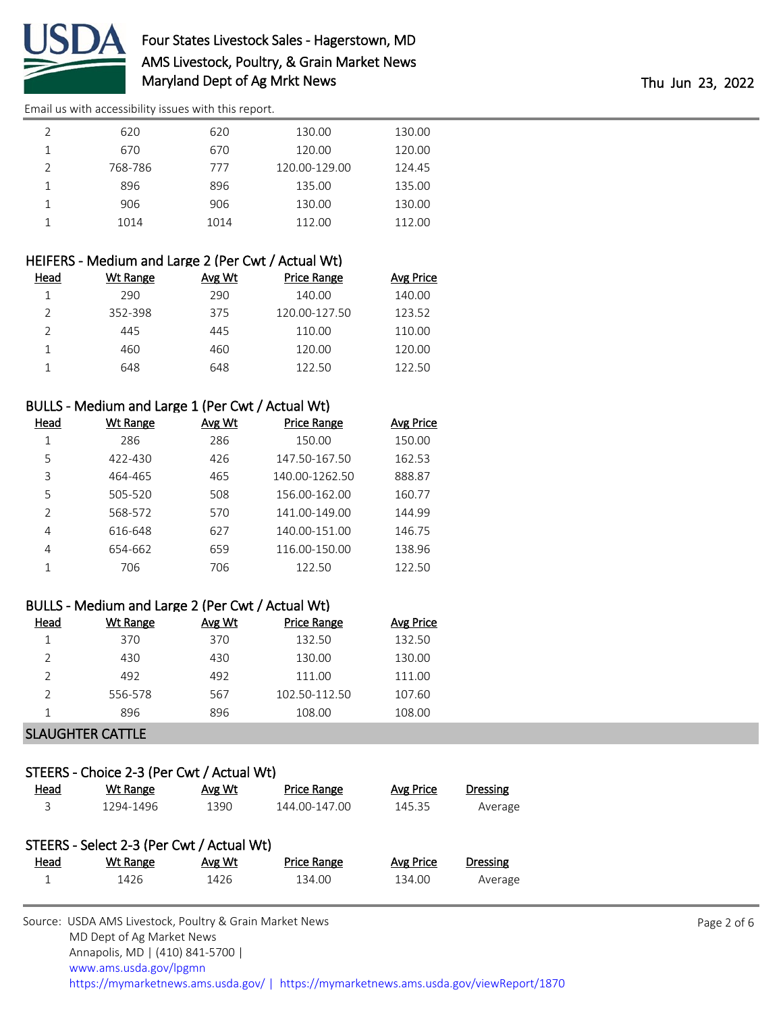

## Four States Livestock Sales - Hagerstown, MD AMS Livestock, Poultry, & Grain Market News Maryland Dept of Ag Mrkt News Thu Jun 23, 2022

[Email us with accessibility issues with this report.](mailto:mars@ams.usda.gov?subject=508%20issue)

| 620     | 620  | 130.00        | 130.00 |
|---------|------|---------------|--------|
| 670     | 670  | 120.00        | 120.00 |
| 768-786 | 777  | 120.00-129.00 | 124.45 |
| 896     | 896  | 135.00        | 135.00 |
| 906     | 906  | 130.00        | 130.00 |
| 1014    | 1014 | 112.00        | 112.00 |

### HEIFERS - Medium and Large 2 (Per Cwt / Actual Wt)

| Head | Wt Range | Avg Wt | Price Range   | <b>Avg Price</b> |
|------|----------|--------|---------------|------------------|
|      | 290.     | 290    | 140.00        | 140.00           |
|      | 352-398  | 375    | 120.00-127.50 | 123.52           |
|      | 445      | 445    | 110.00        | 110.00           |
|      | 460      | 460    | 120.00        | 120.00           |
|      | 648      | 648    | 122.50        | 122 50           |

### BULLS - Medium and Large 1 (Per Cwt / Actual Wt)

| Head           | <b>Wt Range</b> | Avg Wt | <b>Price Range</b> | <b>Avg Price</b> |
|----------------|-----------------|--------|--------------------|------------------|
| 1              | 286             | 286    | 150.00             | 150.00           |
| 5              | 422-430         | 426    | 147.50-167.50      | 162.53           |
| 3              | 464-465         | 465    | 140.00-1262.50     | 888.87           |
| 5              | 505-520         | 508    | 156.00-162.00      | 160.77           |
| $\mathfrak{D}$ | 568-572         | 570    | 141.00-149.00      | 144.99           |
| 4              | 616-648         | 627    | 140.00-151.00      | 146.75           |
| $\overline{4}$ | 654-662         | 659    | 116.00-150.00      | 138.96           |
| 1              | 706             | 706    | 122.50             | 122.50           |

#### BULLS - Medium and Large 2 (Per Cwt / Actual Wt)

| Head | Wt Range | Avg Wt | Price Range   | Avg Price |
|------|----------|--------|---------------|-----------|
|      | 370      | 370    | 132.50        | 132.50    |
|      | 430      | 430    | 130.00        | 130.00    |
|      | 492      | 492    | 111.00        | 111.00    |
|      | 556-578  | 567    | 102.50-112.50 | 107.60    |
|      | 896      | 896    | 108.00        | 108.00    |

#### SLAUGHTER CATTLE

# STEERS - Choice 2-3 (Per Cwt / Actual Wt)

| <u>Head</u> | Wt Range                                  | Avg Wt | Price Range        | Avg Price | Dressing |
|-------------|-------------------------------------------|--------|--------------------|-----------|----------|
| 3           | 1294-1496                                 | 1390   | 144.00-147.00      | 145.35    | Average  |
|             | STEERS - Select 2-3 (Per Cwt / Actual Wt) |        |                    |           |          |
| <u>Head</u> | Wt Range                                  | Avg Wt | <b>Price Range</b> | Avg Price | Dressing |
|             | 1426                                      | 1426   | 134.00             | 134.00    | Average  |
|             |                                           |        |                    |           |          |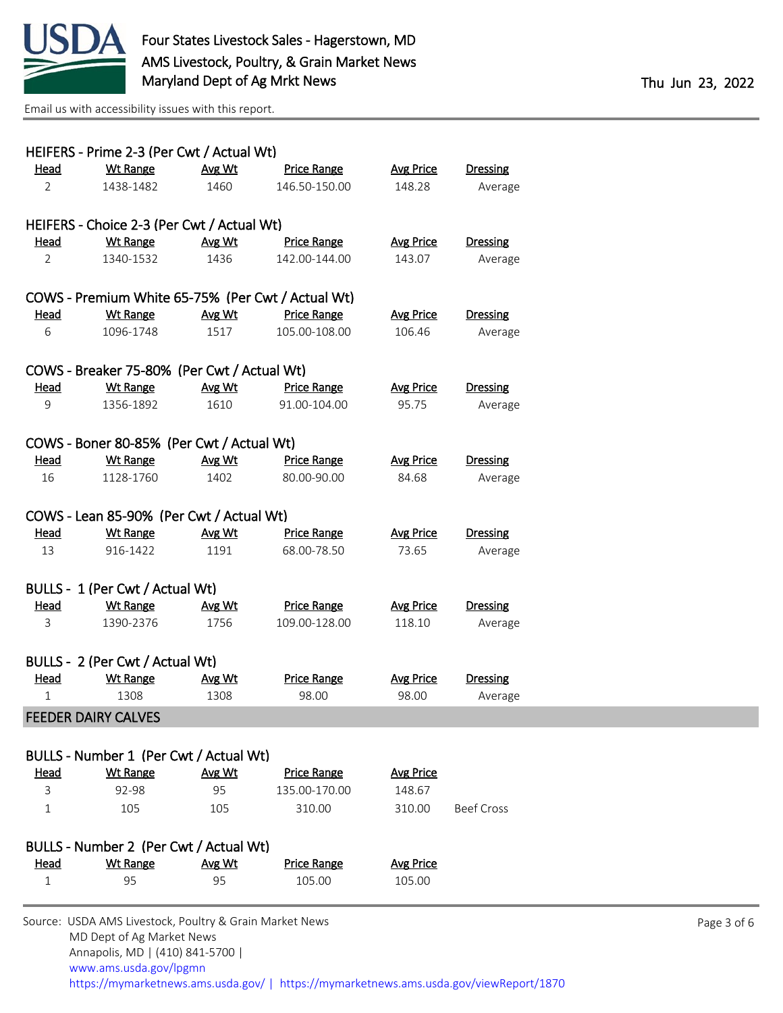

Page 3 of 6

[Email us with accessibility issues with this report.](mailto:mars@ams.usda.gov?subject=508%20issue)

[www.ams.usda.gov/lpgmn](https://www.ams.usda.gov/market-news)

|                | HEIFERS - Prime 2-3 (Per Cwt / Actual Wt)               |        |                    |                  |                   |  |
|----------------|---------------------------------------------------------|--------|--------------------|------------------|-------------------|--|
| <b>Head</b>    | <b>Wt Range</b>                                         | Avg Wt | <b>Price Range</b> | <b>Avg Price</b> | <b>Dressing</b>   |  |
| $\overline{2}$ | 1438-1482                                               | 1460   | 146.50-150.00      | 148.28           | Average           |  |
|                |                                                         |        |                    |                  |                   |  |
|                | HEIFERS - Choice 2-3 (Per Cwt / Actual Wt)              |        |                    |                  |                   |  |
| <u>Head</u>    | <b>Wt Range</b>                                         | Avg Wt | <b>Price Range</b> | <b>Avg Price</b> | <b>Dressing</b>   |  |
| $\overline{2}$ | 1340-1532                                               | 1436   | 142.00-144.00      | 143.07           | Average           |  |
|                | COWS - Premium White 65-75% (Per Cwt / Actual Wt)       |        |                    |                  |                   |  |
| Head           | <b>Wt Range</b>                                         | Avg Wt | <b>Price Range</b> | <b>Avg Price</b> | <b>Dressing</b>   |  |
|                |                                                         |        |                    |                  |                   |  |
| 6              | 1096-1748                                               | 1517   | 105.00-108.00      | 106.46           | Average           |  |
|                | COWS - Breaker 75-80% (Per Cwt / Actual Wt)             |        |                    |                  |                   |  |
| <u>Head</u>    | <b>Wt Range</b>                                         | Avg Wt | <b>Price Range</b> | <b>Avg Price</b> | <b>Dressing</b>   |  |
| 9              | 1356-1892                                               | 1610   | 91.00-104.00       | 95.75            | Average           |  |
|                |                                                         |        |                    |                  |                   |  |
|                | COWS - Boner 80-85% (Per Cwt / Actual Wt)               |        |                    |                  |                   |  |
| <b>Head</b>    | <b>Wt Range</b>                                         | Avg Wt | <b>Price Range</b> | <b>Avg Price</b> | <b>Dressing</b>   |  |
| 16             | 1128-1760                                               | 1402   | 80.00-90.00        | 84.68            | Average           |  |
|                |                                                         |        |                    |                  |                   |  |
|                | COWS - Lean 85-90% (Per Cwt / Actual Wt)                |        |                    |                  |                   |  |
| <b>Head</b>    | <b>Wt Range</b>                                         | Avg Wt | <b>Price Range</b> | <b>Avg Price</b> | <b>Dressing</b>   |  |
| 13             | 916-1422                                                | 1191   | 68.00-78.50        | 73.65            | Average           |  |
|                |                                                         |        |                    |                  |                   |  |
|                | BULLS - 1 (Per Cwt / Actual Wt)                         |        |                    |                  |                   |  |
| Head           | <b>Wt Range</b>                                         | Avg Wt | <b>Price Range</b> | <b>Avg Price</b> | <b>Dressing</b>   |  |
| 3              | 1390-2376                                               | 1756   | 109.00-128.00      | 118.10           | Average           |  |
|                | BULLS - 2 (Per Cwt / Actual Wt)                         |        |                    |                  |                   |  |
| <u>Head</u>    | <b>Wt Range</b>                                         | Avg Wt | <b>Price Range</b> | <b>Avg Price</b> | <b>Dressing</b>   |  |
| $\mathbf{1}$   | 1308                                                    | 1308   | 98.00              | 98.00            | Average           |  |
|                | <b>FEEDER DAIRY CALVES</b>                              |        |                    |                  |                   |  |
|                |                                                         |        |                    |                  |                   |  |
|                | BULLS - Number 1 (Per Cwt / Actual Wt)                  |        |                    |                  |                   |  |
| Head           | <b>Wt Range</b>                                         | Avg Wt | <b>Price Range</b> | <b>Avg Price</b> |                   |  |
| 3              | 92-98                                                   | 95     | 135.00-170.00      | 148.67           |                   |  |
| 1              | 105                                                     | 105    | 310.00             | 310.00           | <b>Beef Cross</b> |  |
|                |                                                         |        |                    |                  |                   |  |
|                | BULLS - Number 2 (Per Cwt / Actual Wt)                  |        |                    |                  |                   |  |
| <b>Head</b>    | <b>Wt Range</b>                                         | Avg Wt | <b>Price Range</b> | <b>Avg Price</b> |                   |  |
| 1              | 95                                                      | 95     | 105.00             | 105.00           |                   |  |
|                | Source: USDA AMS Livestock, Poultry & Grain Market News |        |                    |                  |                   |  |
|                | MD Dept of Ag Market News                               |        |                    |                  |                   |  |
|                | Annapolis, MD   (410) 841-5700                          |        |                    |                  |                   |  |

<https://mymarketnews.ams.usda.gov/> [|](https://www.ams.usda.gov/market-news) <https://mymarketnews.ams.usda.gov/viewReport/1870>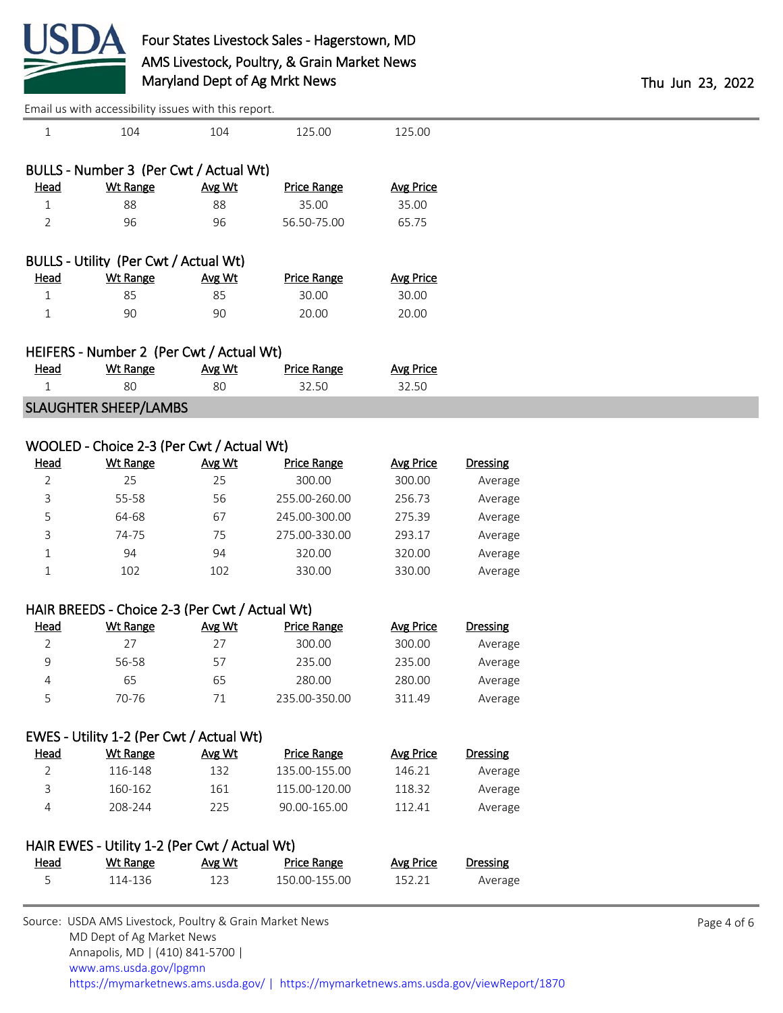

| 5              | 114-136                                                           | 123    | 150.00-155.00      | 152.21           | Average         |
|----------------|-------------------------------------------------------------------|--------|--------------------|------------------|-----------------|
|                |                                                                   |        |                    |                  |                 |
| <b>Head</b>    | HAIR EWES - Utility 1-2 (Per Cwt / Actual Wt)<br><b>Wt Range</b>  | Avg Wt | <b>Price Range</b> | <b>Avg Price</b> | Dressing        |
|                |                                                                   |        |                    |                  |                 |
| $\overline{4}$ | 208-244                                                           | 225    | 90.00-165.00       | 112.41           | Average         |
| 3              | 160-162                                                           | 161    | 115.00-120.00      | 118.32           | Average         |
| $\overline{2}$ | 116-148                                                           | 132    | 135.00-155.00      | 146.21           | Average         |
| <b>Head</b>    | <b>Wt Range</b>                                                   | Avg Wt | <b>Price Range</b> | <b>Avg Price</b> | <b>Dressing</b> |
|                | EWES - Utility 1-2 (Per Cwt / Actual Wt)                          |        |                    |                  |                 |
|                |                                                                   |        |                    |                  |                 |
| 5              | 70-76                                                             | 71     | 235.00-350.00      | 311.49           | Average         |
| 4              | 65                                                                | 65     | 280.00             | 280.00           | Average         |
| 9              | 56-58                                                             | 57     | 235.00             | 235.00           | Average         |
| 2              | 27                                                                | 27     | 300.00             | 300.00           | Average         |
| <b>Head</b>    | HAIR BREEDS - Choice 2-3 (Per Cwt / Actual Wt)<br><b>Wt Range</b> | Avg Wt | <b>Price Range</b> | <b>Avg Price</b> | <b>Dressing</b> |
|                |                                                                   |        |                    |                  |                 |
| $\mathbf 1$    | 102                                                               | 102    | 330.00             | 330.00           | Average         |
| 1              | 94                                                                | 94     | 320.00             | 320.00           | Average         |
| 3              | 74-75                                                             | 75     | 275.00-330.00      | 293.17           | Average         |
| 5              | 64-68                                                             | 67     | 245.00-300.00      | 275.39           | Average         |
| 3              | 55-58                                                             | 56     | 255.00-260.00      | 256.73           | Average         |
| $\overline{2}$ | 25                                                                | 25     | 300.00             | 300.00           | Average         |
| <b>Head</b>    | <b>Wt Range</b>                                                   | Avg Wt | <b>Price Range</b> | <b>Avg Price</b> | <b>Dressing</b> |
|                | WOOLED - Choice 2-3 (Per Cwt / Actual Wt)                         |        |                    |                  |                 |
|                |                                                                   |        |                    |                  |                 |
|                | <b>SLAUGHTER SHEEP/LAMBS</b>                                      |        |                    |                  |                 |
| $\mathbf{1}$   | 80                                                                | 80     | 32.50              | 32.50            |                 |
| <u>Head</u>    | HEIFERS - Number 2 (Per Cwt / Actual Wt)<br><b>Wt Range</b>       | Avg Wt | <b>Price Range</b> | <b>Avg Price</b> |                 |
|                |                                                                   |        |                    |                  |                 |
| $\mathbf 1$    | 90                                                                | 90     | 20.00              | 20.00            |                 |
| $\mathbf{1}$   | 85                                                                | 85     | 30.00              | 30.00            |                 |
| <b>Head</b>    | <b>Wt Range</b>                                                   | Avg Wt | <b>Price Range</b> | <b>Avg Price</b> |                 |
|                | BULLS - Utility (Per Cwt / Actual Wt)                             |        |                    |                  |                 |
|                |                                                                   |        |                    |                  |                 |
| $\overline{2}$ | 96                                                                | 96     | 56.50-75.00        | 65.75            |                 |
| $\mathbf{1}$   | 88                                                                | 88     | 35.00              | 35.00            |                 |
| <b>Head</b>    | <b>Wt Range</b>                                                   | Avg Wt | <b>Price Range</b> | <b>Avg Price</b> |                 |
|                | BULLS - Number 3 (Per Cwt / Actual Wt)                            |        |                    |                  |                 |
|                |                                                                   |        |                    |                  |                 |
| 1              | 104                                                               | 104    | 125.00             | 125.00           |                 |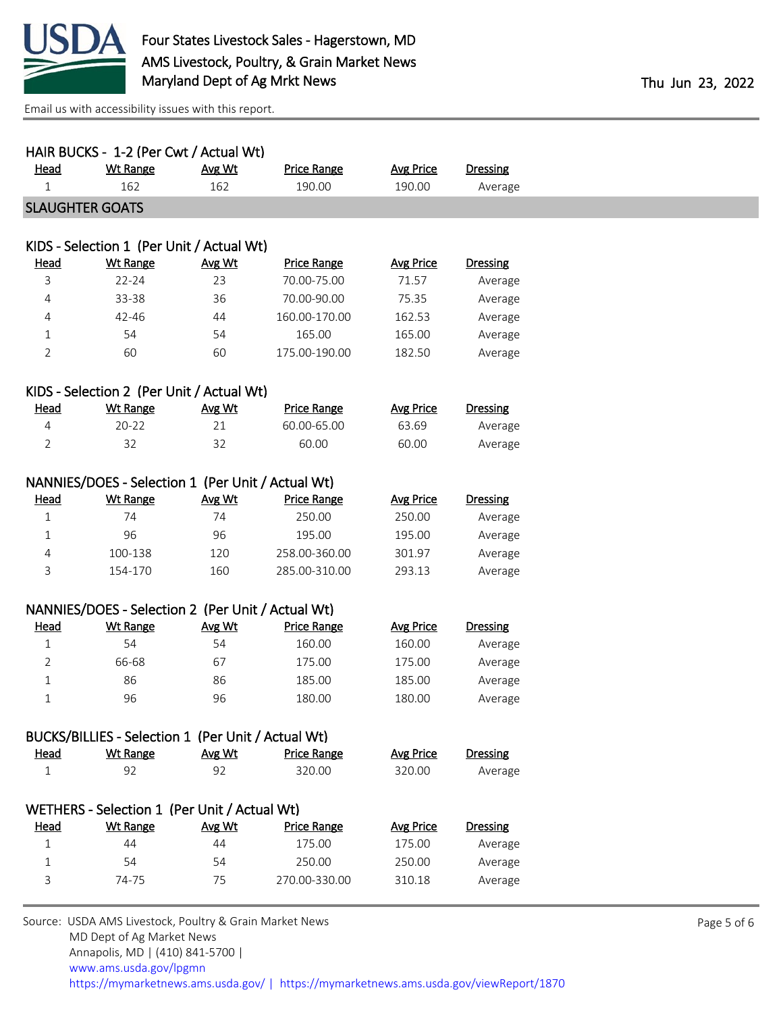

| <b>Wt Range</b><br><b>Price Range</b><br><b>Avg Price</b><br>Head<br>Avg Wt<br>162<br>162<br>190.00<br>190.00<br>1<br><b>SLAUGHTER GOATS</b> | <b>Dressing</b><br>Average |  |  |  |  |
|----------------------------------------------------------------------------------------------------------------------------------------------|----------------------------|--|--|--|--|
|                                                                                                                                              |                            |  |  |  |  |
|                                                                                                                                              |                            |  |  |  |  |
|                                                                                                                                              |                            |  |  |  |  |
| KIDS - Selection 1 (Per Unit / Actual Wt)                                                                                                    |                            |  |  |  |  |
| Head<br><b>Wt Range</b><br>Avg Wt<br><b>Price Range</b><br><b>Avg Price</b>                                                                  | Dressing                   |  |  |  |  |
| $22 - 24$<br>23<br>71.57<br>3<br>70.00-75.00                                                                                                 | Average                    |  |  |  |  |
| 36<br>70.00-90.00<br>75.35<br>4<br>33-38                                                                                                     | Average                    |  |  |  |  |
| 44<br>160.00-170.00<br>4<br>42-46<br>162.53                                                                                                  | Average                    |  |  |  |  |
| 54<br>165.00<br>165.00<br>54<br>$\mathbf{1}$                                                                                                 | Average                    |  |  |  |  |
| $\overline{2}$<br>60<br>60<br>175.00-190.00<br>182.50                                                                                        | Average                    |  |  |  |  |
| KIDS - Selection 2 (Per Unit / Actual Wt)                                                                                                    |                            |  |  |  |  |
| <b>Wt Range</b><br><b>Head</b><br>Avg Wt<br><b>Price Range</b><br><b>Avg Price</b>                                                           | <b>Dressing</b>            |  |  |  |  |
| 21<br>60.00-65.00<br>63.69<br>$20 - 22$<br>4                                                                                                 | Average                    |  |  |  |  |
| 32<br>32<br>$\overline{2}$<br>60.00<br>60.00                                                                                                 | Average                    |  |  |  |  |
|                                                                                                                                              |                            |  |  |  |  |
| NANNIES/DOES - Selection 1 (Per Unit / Actual Wt)                                                                                            |                            |  |  |  |  |
| <b>Wt Range</b><br>Avg Wt<br><b>Price Range</b><br><b>Avg Price</b><br><b>Head</b>                                                           | <b>Dressing</b>            |  |  |  |  |
| 74<br>$\mathbf{1}$<br>74<br>250.00<br>250.00                                                                                                 | Average                    |  |  |  |  |
| 195.00<br>96<br>96<br>195.00<br>1                                                                                                            | Average                    |  |  |  |  |
| 100-138<br>120<br>258.00-360.00<br>301.97<br>4                                                                                               | Average                    |  |  |  |  |
| 3<br>154-170<br>160<br>285.00-310.00<br>293.13                                                                                               | Average                    |  |  |  |  |
| NANNIES/DOES - Selection 2 (Per Unit / Actual Wt)                                                                                            |                            |  |  |  |  |
| <b>Wt Range</b><br><b>Price Range</b><br><b>Head</b><br>Avg Wt<br><b>Avg Price</b>                                                           | <b>Dressing</b>            |  |  |  |  |
| 54<br>54<br>160.00<br>$\mathbf 1$<br>160.00                                                                                                  | Average                    |  |  |  |  |
| 66-68<br>67<br>175.00<br>175.00<br>2                                                                                                         | Average                    |  |  |  |  |
| 86<br>86<br>185.00<br>185.00<br>1                                                                                                            | Average                    |  |  |  |  |
| 96<br>96<br>$\mathbf{1}$<br>180.00<br>180.00                                                                                                 | Average                    |  |  |  |  |
| BUCKS/BILLIES - Selection 1 (Per Unit / Actual Wt)                                                                                           |                            |  |  |  |  |
| <b>Wt Range</b><br>Avg Wt<br><b>Price Range</b><br><b>Avg Price</b><br><b>Head</b>                                                           | <b>Dressing</b>            |  |  |  |  |
| 92<br>92<br>320.00<br>320.00<br>1                                                                                                            | Average                    |  |  |  |  |
|                                                                                                                                              |                            |  |  |  |  |
| WETHERS - Selection 1 (Per Unit / Actual Wt)                                                                                                 |                            |  |  |  |  |
| <b>Wt Range</b><br>Avg Wt<br><b>Price Range</b><br><b>Head</b><br><b>Avg Price</b>                                                           | <b>Dressing</b>            |  |  |  |  |
| 44<br>44<br>175.00<br>175.00<br>1                                                                                                            | Average                    |  |  |  |  |
| 54<br>54<br>250.00<br>250.00<br>1                                                                                                            | Average                    |  |  |  |  |
| 74-75<br>75<br>3<br>270.00-330.00<br>310.18                                                                                                  | Average                    |  |  |  |  |